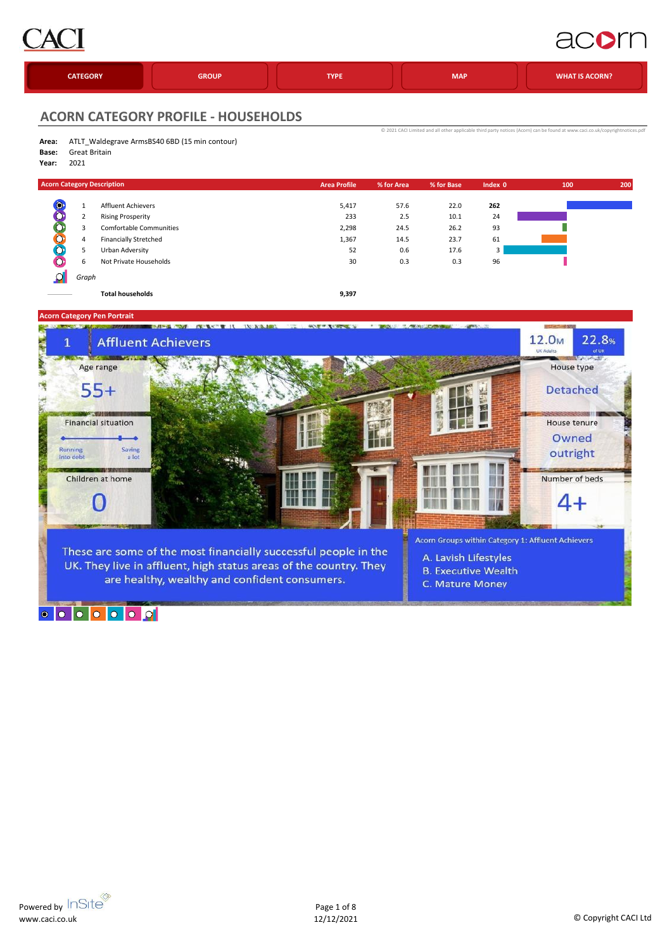

### acom

|  | <b>CATEGORY</b> | <b>GROUP</b> | <b>TYPE</b> | <b>MAP</b> | <b>WHAT IS ACORN?</b> |
|--|-----------------|--------------|-------------|------------|-----------------------|
|--|-----------------|--------------|-------------|------------|-----------------------|

[©](http://www.caci.co.uk/copyrightnotices.pdf) 2021 CACI Limited and all

### **ACORN CATEGORY PROFILE - HOUSEHOLDS**

| Area: | ATLT_Waldegrave ArmsBS40 6BD (15 min contour) |
|-------|-----------------------------------------------|
|       |                                               |

- **Base:** Great Britain
- **Year:** 2021

| <b>Acorn Category Description</b> |       |                                | <b>Area Profile</b> | % for Area | % for Base | Index 0 | 100 | 200 |
|-----------------------------------|-------|--------------------------------|---------------------|------------|------------|---------|-----|-----|
| $\bullet$                         |       | <b>Affluent Achievers</b>      | 5,417               | 57.6       | 22.0       | 262     |     |     |
| O                                 |       | <b>Rising Prosperity</b>       | 233                 | 2.5        | 10.1       | 24      |     |     |
| $\bullet$                         |       | <b>Comfortable Communities</b> | 2,298               | 24.5       | 26.2       | 93      |     |     |
| ∽                                 | 4     | Financially Stretched          | 1,367               | 14.5       | 23.7       | 61      |     |     |
| $\circ$                           |       | Urban Adversity                | 52                  | 0.6        | 17.6       | 3       |     |     |
|                                   | 6     | Not Private Households         | 30                  | 0.3        | 0.3        | 96      |     |     |
|                                   | Graph |                                |                     |            |            |         |     |     |

**Total households 9,397**



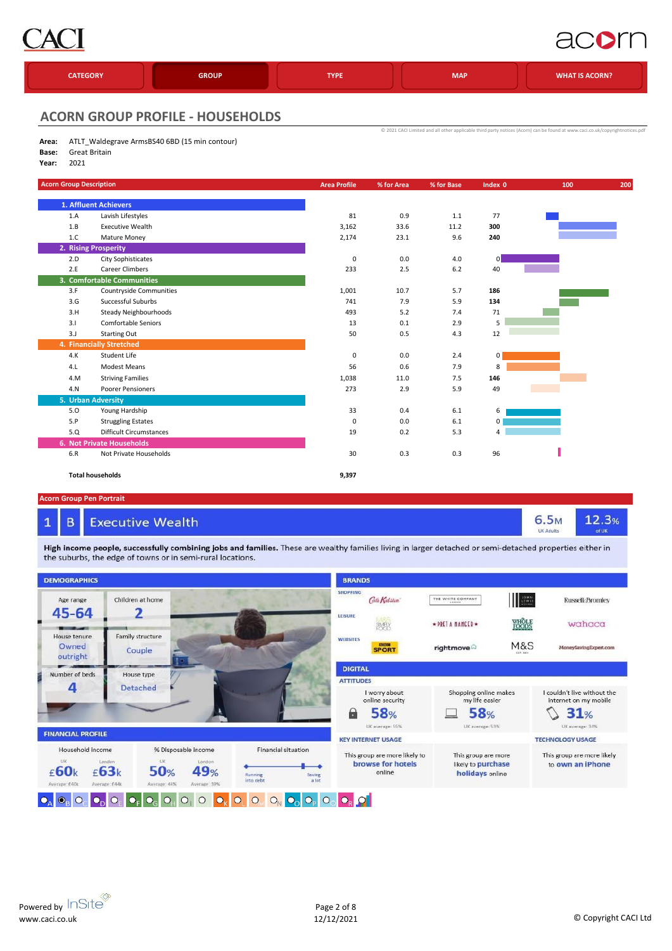

### acorn

| <b>CATEGORY</b> | <b>GROUP</b> | <b>TYPE</b> | <b>MAP</b> | <b>WHAT IS ACORN?</b> |
|-----------------|--------------|-------------|------------|-----------------------|
|                 |              |             |            |                       |

[©](http://www.caci.co.uk/copyrightnotices.pdf) 2021 CACI Limited and all other

#### **ACORN GROUP PROFILE - HOUSEHOLDS**

| Area: | ATLT_Waldegrave ArmsBS40 6BD (15 min contour) |
|-------|-----------------------------------------------|
|       |                                               |

- **Base:** Great Britain
- **Year:** 2021

| <b>Acorn Group Description</b> |                                  | <b>Area Profile</b> | % for Area | % for Base | Index 0        | 100 | 200 |
|--------------------------------|----------------------------------|---------------------|------------|------------|----------------|-----|-----|
|                                | 1. Affluent Achievers            |                     |            |            |                |     |     |
| 1.A                            | Lavish Lifestyles                | 81                  | 0.9        | 1.1        | 77             |     |     |
| 1.B                            | <b>Executive Wealth</b>          | 3,162               | 33.6       | 11.2       | 300            |     |     |
| 1.C                            | Mature Money                     | 2,174               | 23.1       | 9.6        | 240            |     |     |
|                                | 2. Rising Prosperity             |                     |            |            |                |     |     |
| 2.D                            | <b>City Sophisticates</b>        | $\mathbf 0$         | 0.0        | 4.0        | 0              |     |     |
| 2.E                            | Career Climbers                  | 233                 | 2.5        | $6.2$      | 40             |     |     |
|                                | 3. Comfortable Communities       |                     |            |            |                |     |     |
| 3.F                            | <b>Countryside Communities</b>   | 1,001               | 10.7       | 5.7        | 186            |     |     |
| 3.G                            | Successful Suburbs               | 741                 | 7.9        | 5.9        | 134            |     |     |
| 3.H                            | Steady Neighbourhoods            | 493                 | 5.2        | 7.4        | 71             |     |     |
| 3.1                            | <b>Comfortable Seniors</b>       | 13                  | 0.1        | 2.9        | 5              |     |     |
| 3.J                            | <b>Starting Out</b>              | 50                  | 0.5        | 4.3        | 12             |     |     |
|                                | 4. Financially Stretched         |                     |            |            |                |     |     |
| 4. K                           | Student Life                     | $\mathbf 0$         | 0.0        | 2.4        | $\overline{0}$ |     |     |
| 4.L                            | <b>Modest Means</b>              | 56                  | 0.6        | 7.9        | 8              |     |     |
| 4.M                            | <b>Striving Families</b>         | 1,038               | 11.0       | 7.5        | 146            |     |     |
| 4.N                            | Poorer Pensioners                | 273                 | 2.9        | 5.9        | 49             |     |     |
|                                | 5. Urban Adversity               |                     |            |            |                |     |     |
| 5.0                            | Young Hardship                   | 33                  | 0.4        | 6.1        | 6              |     |     |
| 5.P                            | <b>Struggling Estates</b>        | 0                   | 0.0        | 6.1        | 0              |     |     |
| 5.Q                            | <b>Difficult Circumstances</b>   | 19                  | 0.2        | 5.3        | $\overline{4}$ |     |     |
|                                | <b>6. Not Private Households</b> |                     |            |            |                |     |     |
| 6.R                            | Not Private Households           | 30                  | 0.3        | 0.3        | 96             |     |     |
|                                | <b>Total households</b>          | 9,397               |            |            |                |     |     |

#### **Acorn Group Pen Portrait**

 $\mathbf{1}$ 

#### B **Executive Wealth**

High income people, successfully combining jobs and families. These are wealthy families living in larger detached or semi-detached properties either in the suburbs, the edge of towns or in semi-rural locations.



12.3%

6.5<sub>M</sub>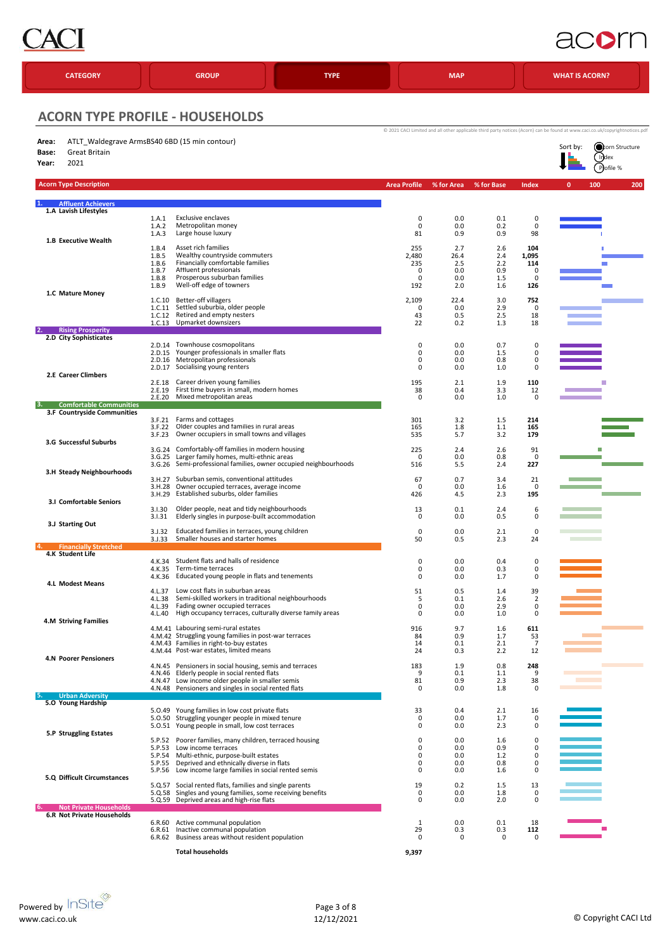

### acom

| <b>CATEGORY</b>                                                                                   |                                                    | <b>GROUP</b>                                                                                                                                                                                                                        | <b>TYPE</b> |                                      | <b>MAP</b>                              |                                        |                                      | <b>WHAT IS ACORN?</b>                                                                                                                                                                           |
|---------------------------------------------------------------------------------------------------|----------------------------------------------------|-------------------------------------------------------------------------------------------------------------------------------------------------------------------------------------------------------------------------------------|-------------|--------------------------------------|-----------------------------------------|----------------------------------------|--------------------------------------|-------------------------------------------------------------------------------------------------------------------------------------------------------------------------------------------------|
| <b>ACORN TYPE PROFILE - HOUSEHOLDS</b>                                                            |                                                    |                                                                                                                                                                                                                                     |             |                                      |                                         |                                        |                                      |                                                                                                                                                                                                 |
| ATLT Waldegrave ArmsBS40 6BD (15 min contour)<br>Area:<br>Great Britain<br>Base:<br>2021<br>Year: |                                                    |                                                                                                                                                                                                                                     |             |                                      |                                         |                                        |                                      | © 2021 CACI Limited and all other applicable third party notices (Acorn) can be found at www.caci.co.uk/copyrightnotices.pdf<br>Sort by:<br><b>O</b> corn Structure<br>$\int$ Index<br>Pofile % |
| <b>Acorn Type Description</b>                                                                     |                                                    |                                                                                                                                                                                                                                     |             | <b>Area Profile</b>                  | % for Area                              | % for Base                             | <b>Index</b>                         | 100<br>200<br>$\mathbf{0}$                                                                                                                                                                      |
| <b>Affluent Achievers</b><br>1.A Lavish Lifestyles                                                |                                                    |                                                                                                                                                                                                                                     |             |                                      |                                         |                                        |                                      |                                                                                                                                                                                                 |
| 1.B Executive Wealth                                                                              | 1.A.1<br>1.A.2<br>1.A.3                            | <b>Exclusive enclaves</b><br>Metropolitan money<br>Large house luxury                                                                                                                                                               |             | $\pmb{0}$<br>0<br>81                 | 0.0<br>0.0<br>0.9                       | 0.1<br>0.2<br>0.9                      | 0<br>0<br>98                         |                                                                                                                                                                                                 |
|                                                                                                   | 1.B.4<br>1.B.5<br>1.B.6<br>1.B.7<br>1.B.8<br>1.B.9 | Asset rich families<br>Wealthy countryside commuters<br>Financially comfortable families<br>Affluent professionals<br>Prosperous suburban families<br>Well-off edge of towners                                                      |             | 255<br>2,480<br>235<br>0<br>0<br>192 | 2.7<br>26.4<br>2.5<br>0.0<br>0.0<br>2.0 | 2.6<br>2.4<br>2.2<br>0.9<br>1.5<br>1.6 | 104<br>1,095<br>114<br>0<br>0<br>126 |                                                                                                                                                                                                 |
| 1.C Mature Money<br><b>Rising Prosperity</b>                                                      | 1.C.10<br>1.C.11<br>1.C.12                         | Better-off villagers<br>Settled suburbia, older people<br>Retired and empty nesters<br>1.C.13 Upmarket downsizers                                                                                                                   |             | 2,109<br>0<br>43<br>22               | 22.4<br>0.0<br>0.5<br>0.2               | 3.0<br>2.9<br>2.5<br>1.3               | 752<br>$\mathbf 0$<br>18<br>18       |                                                                                                                                                                                                 |
| 2.D City Sophisticates                                                                            | 2.D.15<br>2.D.16<br>2.D.17                         | 2.D.14 Townhouse cosmopolitans<br>Younger professionals in smaller flats<br>Metropolitan professionals<br>Socialising young renters                                                                                                 |             | 0<br>0<br>0<br>0                     | 0.0<br>0.0<br>0.0<br>0.0                | 0.7<br>1.5<br>0.8<br>1.0               | 0<br>0<br>0<br>$\mathbf 0$           |                                                                                                                                                                                                 |
| 2.E Career Climbers                                                                               | 2.E.18<br>2.E.19<br>2.E.20                         | Career driven young families<br>First time buyers in small, modern homes<br>Mixed metropolitan areas                                                                                                                                |             | 195<br>38<br>0                       | 2.1<br>0.4<br>0.0                       | 1.9<br>3.3<br>1.0                      | 110<br>12<br>0                       |                                                                                                                                                                                                 |
| <b>Comfortable Communities</b><br>3.F Countryside Communities                                     |                                                    |                                                                                                                                                                                                                                     |             |                                      |                                         |                                        |                                      |                                                                                                                                                                                                 |
| 3.G Successful Suburbs                                                                            | 3.F.21<br>3.F.22<br>3.F.23                         | Farms and cottages<br>Older couples and families in rural areas<br>Owner occupiers in small towns and villages<br>Comfortably-off families in modern housing                                                                        |             | 301<br>165<br>535                    | 3.2<br>1.8<br>5.7                       | 1.5<br>1.1<br>3.2                      | 214<br>165<br>179                    |                                                                                                                                                                                                 |
| 3.H Steady Neighbourhoods                                                                         | 3.G.24<br>3.6.25<br>3.6.26                         | Larger family homes, multi-ethnic areas<br>Semi-professional families, owner occupied neighbourhoods                                                                                                                                |             | 225<br>0<br>516                      | 2.4<br>0.0<br>5.5                       | 2.6<br>0.8<br>2.4                      | 91<br>0<br>227                       |                                                                                                                                                                                                 |
| <b>3.I Comfortable Seniors</b>                                                                    | 3.H.28<br>3.H.29                                   | 3.H.27 Suburban semis, conventional attitudes<br>Owner occupied terraces, average income<br>Established suburbs, older families                                                                                                     |             | 67<br>$\mathbf 0$<br>426             | 0.7<br>0.0<br>4.5                       | 3.4<br>1.6<br>2.3                      | 21<br>0<br>195                       |                                                                                                                                                                                                 |
| 3.J Starting Out                                                                                  | 3.1.30<br>3.1.31<br>3.J.32                         | Older people, neat and tidy neighbourhoods<br>Elderly singles in purpose-built accommodation<br>Educated families in terraces, young children<br>Smaller houses and starter homes                                                   |             | 13<br>0<br>$\mathbf 0$<br>50         | 0.1<br>$0.0\,$<br>0.0                   | 2.4<br>0.5<br>2.1                      | 6<br>0<br>0                          | <b>The College</b>                                                                                                                                                                              |
| <b>Financially Stretched</b><br>4.K Student Life                                                  | 3. J.33                                            |                                                                                                                                                                                                                                     |             |                                      | 0.5                                     | 2.3                                    | 24                                   |                                                                                                                                                                                                 |
| <b>4.L Modest Means</b>                                                                           | 4.K.34<br>4.K.35                                   | Student flats and halls of residence<br>Term-time terraces<br>4.K.36 Educated young people in flats and tenements                                                                                                                   |             | 0<br>0<br>0                          | 0.0<br>0.0<br>0.0                       | 0.4<br>0.3<br>1.7                      | 0<br>0<br>0                          |                                                                                                                                                                                                 |
|                                                                                                   | 4.L.37<br>4.L.38<br>4.L.39<br>4.L.40               | Low cost flats in suburban areas<br>Semi-skilled workers in traditional neighbourhoods<br>Fading owner occupied terraces<br>High occupancy terraces, culturally diverse family areas                                                |             | 51<br>5<br>0<br>0                    | 0.5<br>0.1<br>0.0<br>0.0                | 1.4<br>2.6<br>2.9<br>1.0               | 39<br>$\overline{2}$<br>0<br>0       |                                                                                                                                                                                                 |
| <b>4.M Striving Families</b>                                                                      |                                                    | 4.M.41 Labouring semi-rural estates<br>4.M.42 Struggling young families in post-war terraces<br>4.M.43 Families in right-to-buy estates<br>4.M.44 Post-war estates, limited means                                                   |             | 916<br>84<br>14<br>24                | 9.7<br>0.9<br>0.1<br>0.3                | 1.6<br>1.7<br>2.1<br>2.2               | 611<br>53<br>$\overline{7}$<br>12    |                                                                                                                                                                                                 |
| <b>4.N Poorer Pensioners</b>                                                                      |                                                    | 4.N.45 Pensioners in social housing, semis and terraces<br>4.N.46 Elderly people in social rented flats<br>4.N.47 Low income older people in smaller semis<br>4.N.48 Pensioners and singles in social rented flats                  |             | 183<br>9<br>81<br>0                  | 1.9<br>0.1<br>0.9<br>0.0                | 0.8<br>1.1<br>2.3<br>1.8               | 248<br>9<br>38<br>0                  | <b>Contract Contract</b><br>and the state of the state of the                                                                                                                                   |
| <b>Urban Adversity</b><br>5.0 Young Hardship                                                      |                                                    |                                                                                                                                                                                                                                     |             |                                      |                                         |                                        |                                      |                                                                                                                                                                                                 |
| 5.P Struggling Estates                                                                            |                                                    | 5.0.49 Young families in low cost private flats<br>5.0.50 Struggling younger people in mixed tenure<br>5.0.51 Young people in small, low cost terraces                                                                              |             | 33<br>0<br>0                         | 0.4<br>0.0<br>0.0                       | 2.1<br>1.7<br>2.3                      | 16<br>0<br>0                         |                                                                                                                                                                                                 |
|                                                                                                   | 5.P.53<br>5.P.54                                   | 5.P.52 Poorer families, many children, terraced housing<br>Low income terraces<br>Multi-ethnic, purpose-built estates<br>5.P.55 Deprived and ethnically diverse in flats<br>5.P.56 Low income large families in social rented semis |             | 0<br>0<br>0<br>0<br>0                | 0.0<br>0.0<br>0.0<br>0.0<br>0.0         | 1.6<br>0.9<br>1.2<br>0.8<br>1.6        | 0<br>0<br>0<br>0<br>$\mathbf 0$      |                                                                                                                                                                                                 |
| 5.Q Difficult Circumstances<br><b>Not Private Households</b>                                      |                                                    | 5.Q.57 Social rented flats, families and single parents<br>5.Q.58 Singles and young families, some receiving benefits<br>5.Q.59 Deprived areas and high-rise flats                                                                  |             | 19<br>0<br>0                         | 0.2<br>0.0<br>0.0                       | 1.5<br>1.8<br>2.0                      | 13<br>0<br>0                         |                                                                                                                                                                                                 |
| <b>6.R Not Private Households</b>                                                                 |                                                    | 6.R.60 Active communal population<br>6.R.61 Inactive communal population<br>6.R.62 Business areas without resident population                                                                                                       |             | 1<br>29<br>0                         | 0.0<br>0.3<br>0                         | 0.1<br>0.3<br>0                        | 18<br>112<br>0                       |                                                                                                                                                                                                 |
|                                                                                                   |                                                    | <b>Total households</b>                                                                                                                                                                                                             |             | 9,397                                |                                         |                                        |                                      |                                                                                                                                                                                                 |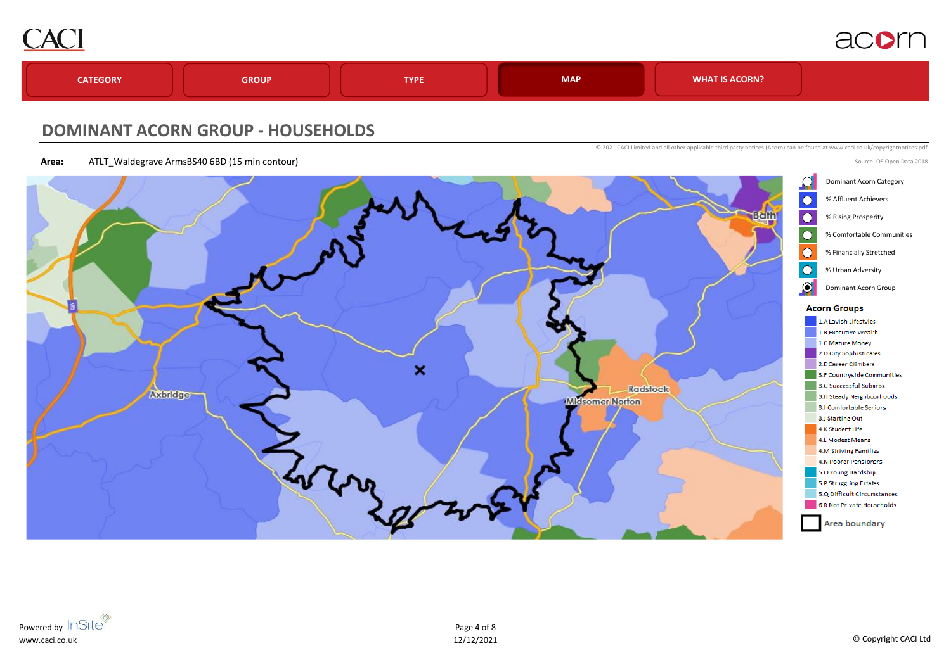

Source: OS Open Data 2018



### **DOMINANT ACORN GROUP - HOUSEHOLDS**

**Area:** ATLT\_Waldegrave ArmsBS40 6BD (15 min contour)

© 2021 CACI Limited and all other applicable third party notices (Acorn) can be found at www.caci.co.uk/copyrightnotices.pdf

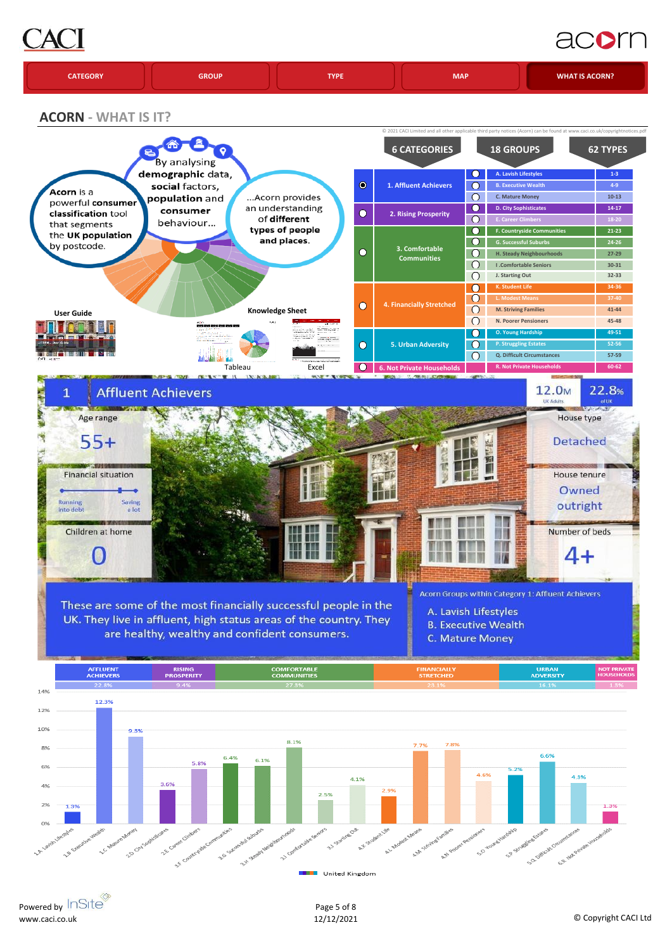## AC

## acorn

|  | <b>CATEGORY</b> | <b>GROUP</b> | <b>TVDF</b> | <b>MAP</b> | <b>WHAT IS ACORN?</b> |
|--|-----------------|--------------|-------------|------------|-----------------------|
|--|-----------------|--------------|-------------|------------|-----------------------|

**ACORN - WHAT IS IT?**



Powered by InSite® www.caci.co.uk

Page 5 of 8

United Kingdom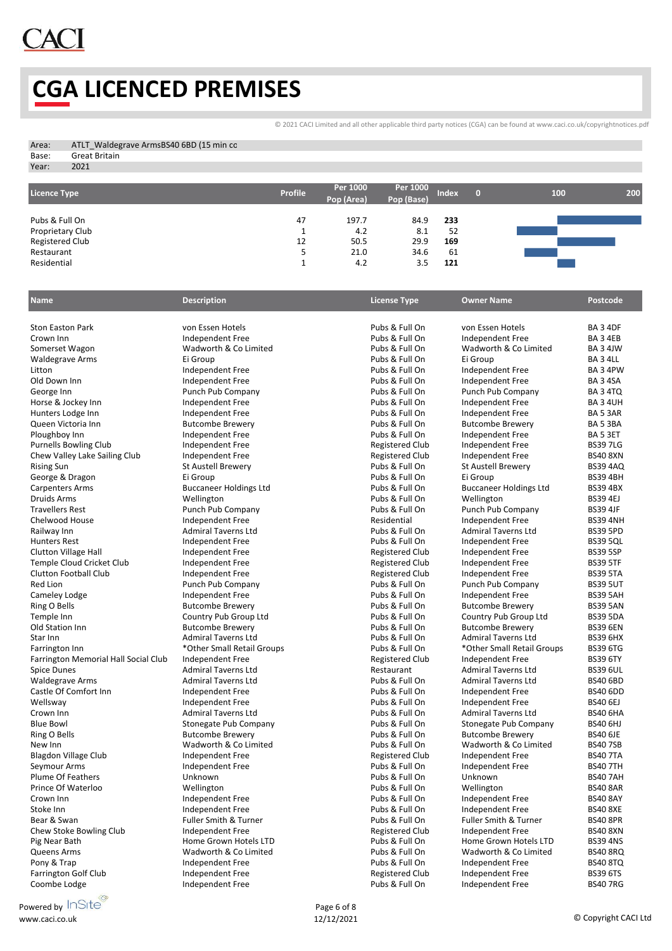### **CGA LICENCED PREMISES**

[©](http://www.caci.co.uk/copyrightnotices.pdf) 2021 CACI Limited and all other applicable third party notices (CGA) can be found at www.caci.co.uk/copyrightnotices.pdf

|                        | ATLT Waldegrave ArmsBS40 6BD (15 min co |
|------------------------|-----------------------------------------|
| Great Britain<br>Base: |                                         |

Year: 2021

| <b>Licence Type</b> | <b>Profile</b> | Per 1000<br>Pop (Area) | Per 1000<br>Pop (Base) | <b>Index</b> | 100 | 200 |
|---------------------|----------------|------------------------|------------------------|--------------|-----|-----|
| Pubs & Full On      | 47             | 197.7                  | 84.9                   | 233          |     |     |
| Proprietary Club    |                | 4.2                    | 8.1                    | 52           |     |     |
| Registered Club     | 12             | 50.5                   | 29.9                   | 169          |     |     |
| Restaurant          | כ              | 21.0                   | 34.6                   | 61           |     |     |
| Residential         | -              | 4.2                    | 3.5                    | 121          |     |     |

| <b>Name</b>                          | <b>Description</b>            | <b>License Type</b>    | <b>Owner Name</b>                | <b>Postcode</b> |
|--------------------------------------|-------------------------------|------------------------|----------------------------------|-----------------|
| <b>Ston Easton Park</b>              | von Essen Hotels              | Pubs & Full On         | von Essen Hotels                 | <b>BA 3 4DF</b> |
| Crown Inn                            | Independent Free              | Pubs & Full On         | Independent Free                 | BA34EB          |
| Somerset Wagon                       | Wadworth & Co Limited         | Pubs & Full On         | Wadworth & Co Limited            | BA 3 4JW        |
| <b>Waldegrave Arms</b>               | Ei Group                      | Pubs & Full On         | Ei Group                         | BA 3 4LL        |
| Litton                               | Independent Free              | Pubs & Full On         | Independent Free                 | BA 3 4PW        |
| Old Down Inn                         | Independent Free              | Pubs & Full On         | Independent Free                 | <b>BA 3 4SA</b> |
| George Inn                           | Punch Pub Company             | Pubs & Full On         | Punch Pub Company                | BA 3 4TQ        |
| Horse & Jockey Inn                   | Independent Free              | Pubs & Full On         | Independent Free                 | <b>BA34UH</b>   |
| Hunters Lodge Inn                    | Independent Free              | Pubs & Full On         | Independent Free                 | BA 5 3AR        |
| Queen Victoria Inn                   | <b>Butcombe Brewery</b>       | Pubs & Full On         | <b>Butcombe Brewery</b>          | BA 53BA         |
| Ploughboy Inn                        | <b>Independent Free</b>       | Pubs & Full On         | Independent Free                 | BA 5 3ET        |
| <b>Purnells Bowling Club</b>         | Independent Free              | <b>Registered Club</b> | Independent Free                 | <b>BS397LG</b>  |
| Chew Valley Lake Sailing Club        | Independent Free              | <b>Registered Club</b> | Independent Free                 | <b>BS40 8XN</b> |
| <b>Rising Sun</b>                    | <b>St Austell Brewery</b>     | Pubs & Full On         | <b>St Austell Brewery</b>        | <b>BS39 4AQ</b> |
| George & Dragon                      | Ei Group                      | Pubs & Full On         | Ei Group                         | <b>BS39 4BH</b> |
| <b>Carpenters Arms</b>               | <b>Buccaneer Holdings Ltd</b> | Pubs & Full On         | <b>Buccaneer Holdings Ltd</b>    | <b>BS39 4BX</b> |
| <b>Druids Arms</b>                   | Wellington                    | Pubs & Full On         | Wellington                       | <b>BS39 4EJ</b> |
| <b>Travellers Rest</b>               | Punch Pub Company             | Pubs & Full On         | Punch Pub Company                | <b>BS39 4JF</b> |
| Chelwood House                       | Independent Free              | Residential            | Independent Free                 | <b>BS39 4NH</b> |
| Railway Inn                          | <b>Admiral Taverns Ltd</b>    | Pubs & Full On         | <b>Admiral Taverns Ltd</b>       | <b>BS39 5PD</b> |
| <b>Hunters Rest</b>                  | Independent Free              | Pubs & Full On         | Independent Free                 | <b>BS39 5QL</b> |
| Clutton Village Hall                 | Independent Free              | <b>Registered Club</b> | Independent Free                 | <b>BS39 5SP</b> |
| Temple Cloud Cricket Club            | Independent Free              | <b>Registered Club</b> | Independent Free                 | <b>BS39 5TF</b> |
| Clutton Football Club                | <b>Independent Free</b>       | <b>Registered Club</b> | Independent Free                 | <b>BS39 5TA</b> |
| <b>Red Lion</b>                      | Punch Pub Company             | Pubs & Full On         | Punch Pub Company                | <b>BS39 5UT</b> |
| Cameley Lodge                        | Independent Free              | Pubs & Full On         | Independent Free                 | <b>BS39 5AH</b> |
| Ring O Bells                         | <b>Butcombe Brewery</b>       | Pubs & Full On         | <b>Butcombe Brewery</b>          | <b>BS39 5AN</b> |
| Temple Inn                           | Country Pub Group Ltd         | Pubs & Full On         | Country Pub Group Ltd            | <b>BS39 5DA</b> |
| Old Station Inn                      | <b>Butcombe Brewery</b>       | Pubs & Full On         | <b>Butcombe Brewery</b>          | <b>BS39 6EN</b> |
| Star Inn                             | <b>Admiral Taverns Ltd</b>    | Pubs & Full On         | <b>Admiral Taverns Ltd</b>       | <b>BS39 6HX</b> |
| Farrington Inn                       | *Other Small Retail Groups    | Pubs & Full On         | *Other Small Retail Groups       | <b>BS39 6TG</b> |
| Farrington Memorial Hall Social Club | Independent Free              | <b>Registered Club</b> | Independent Free                 | <b>BS39 6TY</b> |
| Spice Dunes                          | <b>Admiral Taverns Ltd</b>    | Restaurant             | <b>Admiral Taverns Ltd</b>       | <b>BS39 6UL</b> |
| <b>Waldegrave Arms</b>               | <b>Admiral Taverns Ltd</b>    | Pubs & Full On         | <b>Admiral Taverns Ltd</b>       | <b>BS40 6BD</b> |
| Castle Of Comfort Inn                | Independent Free              | Pubs & Full On         | Independent Free                 | <b>BS40 6DD</b> |
| Wellsway                             | Independent Free              | Pubs & Full On         | Independent Free                 | <b>BS40 6EJ</b> |
| Crown Inn                            | <b>Admiral Taverns Ltd</b>    | Pubs & Full On         | <b>Admiral Taverns Ltd</b>       | <b>BS40 6HA</b> |
| <b>Blue Bowl</b>                     | Stonegate Pub Company         | Pubs & Full On         | Stonegate Pub Company            | <b>BS40 6HJ</b> |
| Ring O Bells                         | <b>Butcombe Brewery</b>       | Pubs & Full On         | <b>Butcombe Brewery</b>          | <b>BS40 6JE</b> |
| New Inn                              | Wadworth & Co Limited         | Pubs & Full On         | Wadworth & Co Limited            | <b>BS407SB</b>  |
| Blagdon Village Club                 | Independent Free              | <b>Registered Club</b> | Independent Free                 | <b>BS40 7TA</b> |
| Seymour Arms                         | Independent Free              | Pubs & Full On         | Independent Free                 | <b>BS40 7TH</b> |
| <b>Plume Of Feathers</b>             | Unknown                       | Pubs & Full On         | Unknown                          | <b>BS40 7AH</b> |
| Prince Of Waterloo                   | Wellington                    | Pubs & Full On         | Wellington                       | <b>BS40 8AR</b> |
| Crown Inn                            | Independent Free              | Pubs & Full On         | Independent Free                 | <b>BS40 8AY</b> |
| Stoke Inn                            | Independent Free              | Pubs & Full On         | Independent Free                 | <b>BS40 8XE</b> |
| Bear & Swan                          | Fuller Smith & Turner         | Pubs & Full On         | <b>Fuller Smith &amp; Turner</b> | <b>BS40 8PR</b> |
| Chew Stoke Bowling Club              | Independent Free              | <b>Registered Club</b> | Independent Free                 | <b>BS40 8XN</b> |
| Pig Near Bath                        | Home Grown Hotels LTD         | Pubs & Full On         | Home Grown Hotels LTD            | <b>BS39 4NS</b> |
| Queens Arms                          | Wadworth & Co Limited         | Pubs & Full On         | Wadworth & Co Limited            | <b>BS40 8RQ</b> |
| Pony & Trap                          | Independent Free              | Pubs & Full On         | Independent Free                 | <b>BS40 8TQ</b> |
| <b>Farrington Golf Club</b>          | Independent Free              | <b>Registered Club</b> | Independent Free                 | <b>BS39 6TS</b> |
| Coombe Lodge                         | Independent Free              | Pubs & Full On         | Independent Free                 | <b>BS407RG</b>  |
|                                      |                               |                        |                                  |                 |

Powered by InSite<sup></sup> www.caci.co.uk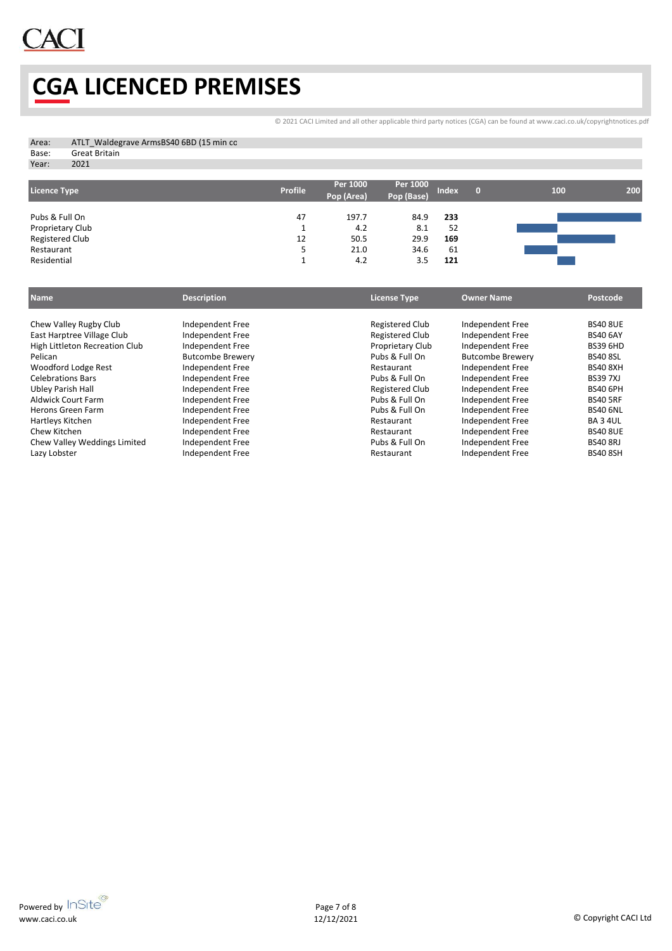

# **CGA LICENCED PREMISES**

[©](http://www.caci.co.uk/copyrightnotices.pdf) 2021 CACI Limited and all other applicable third party notices (CGA) can be found at www.caci.co.uk/copyrightnotices.pdf

| Area: | ATLT Waldegrave ArmsBS40 6BD (15 min co |
|-------|-----------------------------------------|
| Base: | Great Britain                           |
| Year: | 2021                                    |

| <b>Licence Type</b> | <b>Profile</b> | Per 1000<br>Pop (Area) | Per 1000<br>Pop (Base) | <b>Index</b> | 100 | 200 |
|---------------------|----------------|------------------------|------------------------|--------------|-----|-----|
| Pubs & Full On      | 47             | 197.7                  | 84.9                   | 233          |     |     |
| Proprietary Club    |                | 4.2                    | 8.1                    | 52           |     |     |
| Registered Club     | 12             | 50.5                   | 29.9                   | 169          |     |     |
| Restaurant          | ب              | 21.0                   | 34.6                   | 61           |     |     |
| Residential         |                | 4.2                    | 3.5                    | 121          |     |     |

| <b>Name</b>                    | <b>Description</b>      | <b>License Type</b> | <b>Owner Name</b>       | Postcode        |
|--------------------------------|-------------------------|---------------------|-------------------------|-----------------|
|                                |                         |                     |                         |                 |
| Chew Valley Rugby Club         | Independent Free        | Registered Club     | Independent Free        | <b>BS40 8UE</b> |
| East Harptree Village Club     | Independent Free        | Registered Club     | Independent Free        | <b>BS40 6AY</b> |
| High Littleton Recreation Club | Independent Free        | Proprietary Club    | Independent Free        | <b>BS39 6HD</b> |
| Pelican                        | <b>Butcombe Brewery</b> | Pubs & Full On      | <b>Butcombe Brewery</b> | <b>BS40 8SL</b> |
| Woodford Lodge Rest            | Independent Free        | Restaurant          | Independent Free        | <b>BS40 8XH</b> |
| <b>Celebrations Bars</b>       | Independent Free        | Pubs & Full On      | Independent Free        | <b>BS397XJ</b>  |
| Ubley Parish Hall              | Independent Free        | Registered Club     | Independent Free        | <b>BS40 6PH</b> |
| <b>Aldwick Court Farm</b>      | Independent Free        | Pubs & Full On      | Independent Free        | <b>BS40 5RF</b> |
| Herons Green Farm              | Independent Free        | Pubs & Full On      | Independent Free        | <b>BS40 6NL</b> |
| Hartleys Kitchen               | Independent Free        | Restaurant          | Independent Free        | <b>BA 3 4UL</b> |
| Chew Kitchen                   | Independent Free        | Restaurant          | Independent Free        | <b>BS40 8UE</b> |
| Chew Valley Weddings Limited   | Independent Free        | Pubs & Full On      | Independent Free        | <b>BS40 8RJ</b> |
| Lazy Lobster                   | Independent Free        | Restaurant          | Independent Free        | <b>BS40 8SH</b> |